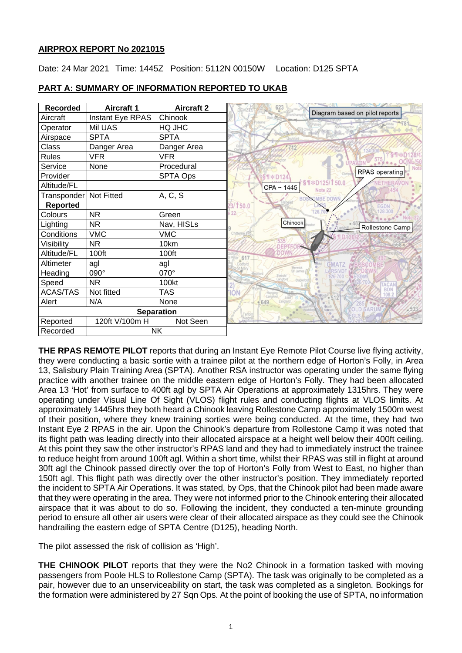## **AIRPROX REPORT No 2021015**

Date: 24 Mar 2021 Time: 1445Z Position: 5112N 00150W Location: D125 SPTA

| <b>Recorded</b>   | <b>Aircraft 1</b> | <b>Aircraft 2</b> | 623<br>Diagram based on pilot reports                            |
|-------------------|-------------------|-------------------|------------------------------------------------------------------|
| Aircraft          | Instant Eye RPAS  | Chinook           |                                                                  |
| Operator          | Mil UAS           | HQ JHC            |                                                                  |
| Airspace          | <b>SPTA</b>       | <b>SPTA</b>       |                                                                  |
| Class             | Danger Area       | Danger Area       |                                                                  |
| Rules             | <b>VFR</b>        | <b>VFR</b>        |                                                                  |
| Service           | None              | Procedural        | ., OCNE/50<br><b>UPAVON</b>                                      |
| Provider          |                   | SPTA Ops          | <b>RPAS</b> operating<br><b>ST * D124</b>                        |
| Altitude/FL       |                   |                   | NETHERAVO<br>T * D125/T 50.0<br>CPA ~ 1445<br>Note <sub>22</sub> |
| Transponder       | Not Fitted        | A, C, S           | <b>OMBE DOWN</b>                                                 |
| <b>Reported</b>   |                   |                   | 3/150.0<br><b>EGDN</b>                                           |
| Colours           | <b>NR</b>         | Green             | 28,300<br>22 <sub>5</sub>                                        |
| Lighting          | <b>NR</b>         | Nav, HISLs        | Chinook<br>Rollestone Camp                                       |
| Conditions        | <b>VMC</b>        | <b>VMC</b>        | Chitterne                                                        |
| Visibility        | <b>NR</b>         | 10km              | 535                                                              |
| Altitude/FL       | 100ft             | 100ft             | 617                                                              |
| Altimeter         | agl               | agl               | Codfor<br><b>GMATZ</b>                                           |
| Heading           | 090°              | 070°              | Berwick<br>St <sup>y</sup> James                                 |
| Speed             | <b>NR</b>         | 100kt             | <b>TACAN</b><br>BDN                                              |
| <b>ACAS/TAS</b>   | Not fitted        | <b>TAS</b>        | <b>ION</b><br>Langford                                           |
| Alert             | N/A               | None              | 9649                                                             |
| <b>Separation</b> |                   |                   | <b>OLD SARUM</b><br>Teffont                                      |
| Reported          | 120ft V/100m H    | Not Seen          |                                                                  |
| Recorded          |                   | <b>NK</b>         |                                                                  |

# **PART A: SUMMARY OF INFORMATION REPORTED TO UKAB**

**THE RPAS REMOTE PILOT** reports that during an Instant Eye Remote Pilot Course live flying activity, they were conducting a basic sortie with a trainee pilot at the northern edge of Horton's Folly, in Area 13, Salisbury Plain Training Area (SPTA). Another RSA instructor was operating under the same flying practice with another trainee on the middle eastern edge of Horton's Folly. They had been allocated Area 13 'Hot' from surface to 400ft agl by SPTA Air Operations at approximately 1315hrs. They were operating under Visual Line Of Sight (VLOS) flight rules and conducting flights at VLOS limits. At approximately 1445hrs they both heard a Chinook leaving Rollestone Camp approximately 1500m west of their position, where they knew training sorties were being conducted. At the time, they had two Instant Eye 2 RPAS in the air. Upon the Chinook's departure from Rollestone Camp it was noted that its flight path was leading directly into their allocated airspace at a height well below their 400ft ceiling. At this point they saw the other instructor's RPAS land and they had to immediately instruct the trainee to reduce height from around 100ft agl. Within a short time, whilst their RPAS was still in flight at around 30ft agl the Chinook passed directly over the top of Horton's Folly from West to East, no higher than 150ft agl. This flight path was directly over the other instructor's position. They immediately reported the incident to SPTA Air Operations. It was stated, by Ops, that the Chinook pilot had been made aware that they were operating in the area. They were not informed prior to the Chinook entering their allocated airspace that it was about to do so. Following the incident, they conducted a ten-minute grounding period to ensure all other air users were clear of their allocated airspace as they could see the Chinook handrailing the eastern edge of SPTA Centre (D125), heading North.

The pilot assessed the risk of collision as 'High'.

**THE CHINOOK PILOT** reports that they were the No2 Chinook in a formation tasked with moving passengers from Poole HLS to Rollestone Camp (SPTA). The task was originally to be completed as a pair, however due to an unserviceability on start, the task was completed as a singleton. Bookings for the formation were administered by 27 Sqn Ops. At the point of booking the use of SPTA, no information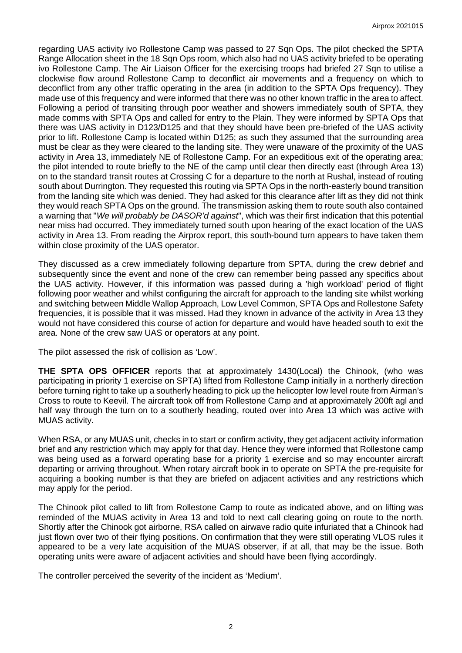regarding UAS activity ivo Rollestone Camp was passed to 27 Sqn Ops. The pilot checked the SPTA Range Allocation sheet in the 18 Sqn Ops room, which also had no UAS activity briefed to be operating ivo Rollestone Camp. The Air Liaison Officer for the exercising troops had briefed 27 Sqn to utilise a clockwise flow around Rollestone Camp to deconflict air movements and a frequency on which to deconflict from any other traffic operating in the area (in addition to the SPTA Ops frequency). They made use of this frequency and were informed that there was no other known traffic in the area to affect. Following a period of transiting through poor weather and showers immediately south of SPTA, they made comms with SPTA Ops and called for entry to the Plain. They were informed by SPTA Ops that there was UAS activity in D123/D125 and that they should have been pre-briefed of the UAS activity prior to lift. Rollestone Camp is located within D125; as such they assumed that the surrounding area must be clear as they were cleared to the landing site. They were unaware of the proximity of the UAS activity in Area 13, immediately NE of Rollestone Camp. For an expeditious exit of the operating area; the pilot intended to route briefly to the NE of the camp until clear then directly east (through Area 13) on to the standard transit routes at Crossing C for a departure to the north at Rushal, instead of routing south about Durrington. They requested this routing via SPTA Ops in the north-easterly bound transition from the landing site which was denied. They had asked for this clearance after lift as they did not think they would reach SPTA Ops on the ground. The transmission asking them to route south also contained a warning that "*We will probably be DASOR'd against*", which was their first indication that this potential near miss had occurred. They immediately turned south upon hearing of the exact location of the UAS activity in Area 13. From reading the Airprox report, this south-bound turn appears to have taken them within close proximity of the UAS operator.

They discussed as a crew immediately following departure from SPTA, during the crew debrief and subsequently since the event and none of the crew can remember being passed any specifics about the UAS activity. However, if this information was passed during a 'high workload' period of flight following poor weather and whilst configuring the aircraft for approach to the landing site whilst working and switching between Middle Wallop Approach, Low Level Common, SPTA Ops and Rollestone Safety frequencies, it is possible that it was missed. Had they known in advance of the activity in Area 13 they would not have considered this course of action for departure and would have headed south to exit the area. None of the crew saw UAS or operators at any point.

The pilot assessed the risk of collision as 'Low'.

**THE SPTA OPS OFFICER** reports that at approximately 1430(Local) the Chinook, (who was participating in priority 1 exercise on SPTA) lifted from Rollestone Camp initially in a northerly direction before turning right to take up a southerly heading to pick up the helicopter low level route from Airman's Cross to route to Keevil. The aircraft took off from Rollestone Camp and at approximately 200ft agl and half way through the turn on to a southerly heading, routed over into Area 13 which was active with MUAS activity.

When RSA, or any MUAS unit, checks in to start or confirm activity, they get adjacent activity information brief and any restriction which may apply for that day. Hence they were informed that Rollestone camp was being used as a forward operating base for a priority 1 exercise and so may encounter aircraft departing or arriving throughout. When rotary aircraft book in to operate on SPTA the pre-requisite for acquiring a booking number is that they are briefed on adjacent activities and any restrictions which may apply for the period.

The Chinook pilot called to lift from Rollestone Camp to route as indicated above, and on lifting was reminded of the MUAS activity in Area 13 and told to next call clearing going on route to the north. Shortly after the Chinook got airborne, RSA called on airwave radio quite infuriated that a Chinook had just flown over two of their flying positions. On confirmation that they were still operating VLOS rules it appeared to be a very late acquisition of the MUAS observer, if at all, that may be the issue. Both operating units were aware of adjacent activities and should have been flying accordingly.

The controller perceived the severity of the incident as 'Medium'.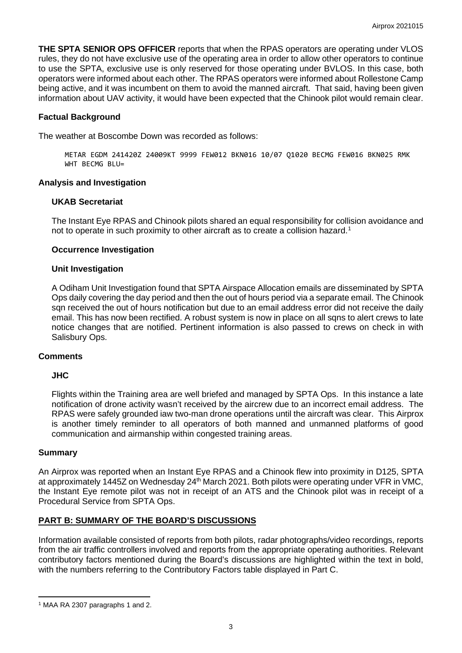**THE SPTA SENIOR OPS OFFICER** reports that when the RPAS operators are operating under VLOS rules, they do not have exclusive use of the operating area in order to allow other operators to continue to use the SPTA, exclusive use is only reserved for those operating under BVLOS. In this case, both operators were informed about each other. The RPAS operators were informed about Rollestone Camp being active, and it was incumbent on them to avoid the manned aircraft. That said, having been given information about UAV activity, it would have been expected that the Chinook pilot would remain clear.

## **Factual Background**

The weather at Boscombe Down was recorded as follows:

METAR EGDM 241420Z 24009KT 9999 FEW012 BKN016 10/07 Q1020 BECMG FEW016 BKN025 RMK WHT BECMG BLU=

## **Analysis and Investigation**

## **UKAB Secretariat**

The Instant Eye RPAS and Chinook pilots shared an equal responsibility for collision avoidance and not to operate in such proximity to other aircraft as to create a collision hazard.<sup>[1](#page-2-0)</sup>

#### **Occurrence Investigation**

#### **Unit Investigation**

A Odiham Unit Investigation found that SPTA Airspace Allocation emails are disseminated by SPTA Ops daily covering the day period and then the out of hours period via a separate email. The Chinook sqn received the out of hours notification but due to an email address error did not receive the daily email. This has now been rectified. A robust system is now in place on all sqns to alert crews to late notice changes that are notified. Pertinent information is also passed to crews on check in with Salisbury Ops.

#### **Comments**

## **JHC**

Flights within the Training area are well briefed and managed by SPTA Ops. In this instance a late notification of drone activity wasn't received by the aircrew due to an incorrect email address. The RPAS were safely grounded iaw two-man drone operations until the aircraft was clear. This Airprox is another timely reminder to all operators of both manned and unmanned platforms of good communication and airmanship within congested training areas.

#### **Summary**

An Airprox was reported when an Instant Eye RPAS and a Chinook flew into proximity in D125, SPTA at approximately 1445Z on Wednesday 24<sup>th</sup> March 2021. Both pilots were operating under VFR in VMC, the Instant Eye remote pilot was not in receipt of an ATS and the Chinook pilot was in receipt of a Procedural Service from SPTA Ops.

## **PART B: SUMMARY OF THE BOARD'S DISCUSSIONS**

Information available consisted of reports from both pilots, radar photographs/video recordings, reports from the air traffic controllers involved and reports from the appropriate operating authorities. Relevant contributory factors mentioned during the Board's discussions are highlighted within the text in bold, with the numbers referring to the Contributory Factors table displayed in Part C.

<span id="page-2-0"></span><sup>1</sup> MAA RA 2307 paragraphs 1 and 2.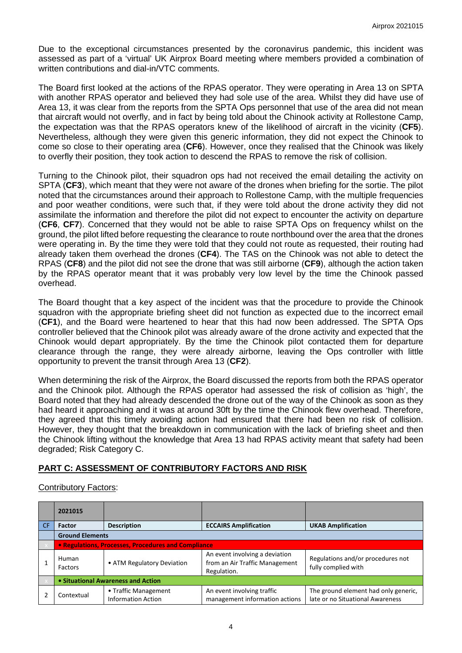Due to the exceptional circumstances presented by the coronavirus pandemic, this incident was assessed as part of a 'virtual' UK Airprox Board meeting where members provided a combination of written contributions and dial-in/VTC comments.

The Board first looked at the actions of the RPAS operator. They were operating in Area 13 on SPTA with another RPAS operator and believed they had sole use of the area. Whilst they did have use of Area 13, it was clear from the reports from the SPTA Ops personnel that use of the area did not mean that aircraft would not overfly, and in fact by being told about the Chinook activity at Rollestone Camp, the expectation was that the RPAS operators knew of the likelihood of aircraft in the vicinity (**CF5**). Nevertheless, although they were given this generic information, they did not expect the Chinook to come so close to their operating area (**CF6**). However, once they realised that the Chinook was likely to overfly their position, they took action to descend the RPAS to remove the risk of collision.

Turning to the Chinook pilot, their squadron ops had not received the email detailing the activity on SPTA (**CF3**), which meant that they were not aware of the drones when briefing for the sortie. The pilot noted that the circumstances around their approach to Rollestone Camp, with the multiple frequencies and poor weather conditions, were such that, if they were told about the drone activity they did not assimilate the information and therefore the pilot did not expect to encounter the activity on departure (**CF6**, **CF7**). Concerned that they would not be able to raise SPTA Ops on frequency whilst on the ground, the pilot lifted before requesting the clearance to route northbound over the area that the drones were operating in. By the time they were told that they could not route as requested, their routing had already taken them overhead the drones (**CF4**). The TAS on the Chinook was not able to detect the RPAS (**CF8**) and the pilot did not see the drone that was still airborne (**CF9**), although the action taken by the RPAS operator meant that it was probably very low level by the time the Chinook passed overhead.

The Board thought that a key aspect of the incident was that the procedure to provide the Chinook squadron with the appropriate briefing sheet did not function as expected due to the incorrect email (**CF1**), and the Board were heartened to hear that this had now been addressed. The SPTA Ops controller believed that the Chinook pilot was already aware of the drone activity and expected that the Chinook would depart appropriately. By the time the Chinook pilot contacted them for departure clearance through the range, they were already airborne, leaving the Ops controller with little opportunity to prevent the transit through Area 13 (**CF2**).

When determining the risk of the Airprox, the Board discussed the reports from both the RPAS operator and the Chinook pilot. Although the RPAS operator had assessed the risk of collision as 'high', the Board noted that they had already descended the drone out of the way of the Chinook as soon as they had heard it approaching and it was at around 30ft by the time the Chinook flew overhead. Therefore, they agreed that this timely avoiding action had ensured that there had been no risk of collision. However, they thought that the breakdown in communication with the lack of briefing sheet and then the Chinook lifting without the knowledge that Area 13 had RPAS activity meant that safety had been degraded; Risk Category C.

# **PART C: ASSESSMENT OF CONTRIBUTORY FACTORS AND RISK**

Contributory Factors:

|           | 2021015                                             |                                                   |                                                                                 |                                                                          |  |  |  |
|-----------|-----------------------------------------------------|---------------------------------------------------|---------------------------------------------------------------------------------|--------------------------------------------------------------------------|--|--|--|
| <b>CF</b> | <b>Factor</b>                                       | <b>Description</b>                                | <b>ECCAIRS Amplification</b>                                                    | <b>UKAB Amplification</b>                                                |  |  |  |
|           | <b>Ground Elements</b>                              |                                                   |                                                                                 |                                                                          |  |  |  |
|           | • Regulations, Processes, Procedures and Compliance |                                                   |                                                                                 |                                                                          |  |  |  |
|           | Human<br>Factors                                    | • ATM Regulatory Deviation                        | An event involving a deviation<br>from an Air Traffic Management<br>Regulation. | Regulations and/or procedures not<br>fully complied with                 |  |  |  |
|           | • Situational Awareness and Action                  |                                                   |                                                                                 |                                                                          |  |  |  |
|           | Contextual                                          | • Traffic Management<br><b>Information Action</b> | An event involving traffic<br>management information actions                    | The ground element had only generic,<br>late or no Situational Awareness |  |  |  |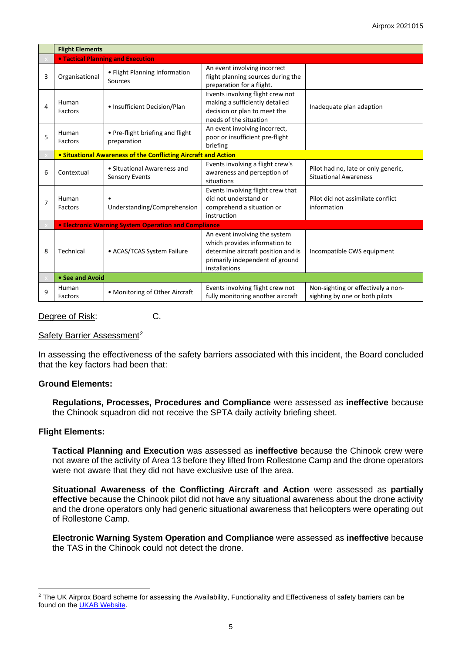|   | <b>Flight Elements</b>                                      |                                                                       |                                                                                                                                                          |                                                                      |  |  |  |  |
|---|-------------------------------------------------------------|-----------------------------------------------------------------------|----------------------------------------------------------------------------------------------------------------------------------------------------------|----------------------------------------------------------------------|--|--|--|--|
|   |                                                             | <b>. Tactical Planning and Execution</b>                              |                                                                                                                                                          |                                                                      |  |  |  |  |
| 3 | Organisational                                              | • Flight Planning Information<br>Sources                              | An event involving incorrect<br>flight planning sources during the<br>preparation for a flight.                                                          |                                                                      |  |  |  |  |
| 4 | Human<br>Factors                                            | • Insufficient Decision/Plan                                          | Events involving flight crew not<br>making a sufficiently detailed<br>decision or plan to meet the<br>needs of the situation                             | Inadequate plan adaption                                             |  |  |  |  |
| 5 | Human<br>Factors                                            | • Pre-flight briefing and flight<br>preparation                       | An event involving incorrect,<br>poor or insufficient pre-flight<br>briefing                                                                             |                                                                      |  |  |  |  |
|   |                                                             | <b>• Situational Awareness of the Conflicting Aircraft and Action</b> |                                                                                                                                                          |                                                                      |  |  |  |  |
| 6 | Contextual                                                  | • Situational Awareness and<br><b>Sensory Events</b>                  | Events involving a flight crew's<br>awareness and perception of<br>situations                                                                            | Pilot had no, late or only generic,<br><b>Situational Awareness</b>  |  |  |  |  |
| 7 | Human<br>Factors                                            | Understanding/Comprehension                                           | Events involving flight crew that<br>did not understand or<br>comprehend a situation or<br>instruction                                                   | Pilot did not assimilate conflict<br>information                     |  |  |  |  |
|   | <b>• Electronic Warning System Operation and Compliance</b> |                                                                       |                                                                                                                                                          |                                                                      |  |  |  |  |
| 8 | Technical                                                   | • ACAS/TCAS System Failure                                            | An event involving the system<br>which provides information to<br>determine aircraft position and is<br>primarily independent of ground<br>installations | Incompatible CWS equipment                                           |  |  |  |  |
|   | • See and Avoid                                             |                                                                       |                                                                                                                                                          |                                                                      |  |  |  |  |
| 9 | Human<br>Factors                                            | • Monitoring of Other Aircraft                                        | Events involving flight crew not<br>fully monitoring another aircraft                                                                                    | Non-sighting or effectively a non-<br>sighting by one or both pilots |  |  |  |  |

Degree of Risk: C.

#### Safety Barrier Assessment<sup>[2](#page-4-0)</sup>

In assessing the effectiveness of the safety barriers associated with this incident, the Board concluded that the key factors had been that:

## **Ground Elements:**

**Regulations, Processes, Procedures and Compliance** were assessed as **ineffective** because the Chinook squadron did not receive the SPTA daily activity briefing sheet.

## **Flight Elements:**

**Tactical Planning and Execution** was assessed as **ineffective** because the Chinook crew were not aware of the activity of Area 13 before they lifted from Rollestone Camp and the drone operators were not aware that they did not have exclusive use of the area.

**Situational Awareness of the Conflicting Aircraft and Action** were assessed as **partially effective** because the Chinook pilot did not have any situational awareness about the drone activity and the drone operators only had generic situational awareness that helicopters were operating out of Rollestone Camp.

**Electronic Warning System Operation and Compliance** were assessed as **ineffective** because the TAS in the Chinook could not detect the drone.

<span id="page-4-0"></span> $2$  The UK Airprox Board scheme for assessing the Availability, Functionality and Effectiveness of safety barriers can be found on the [UKAB Website.](http://www.airproxboard.org.uk/Learn-more/Airprox-Barrier-Assessment/)